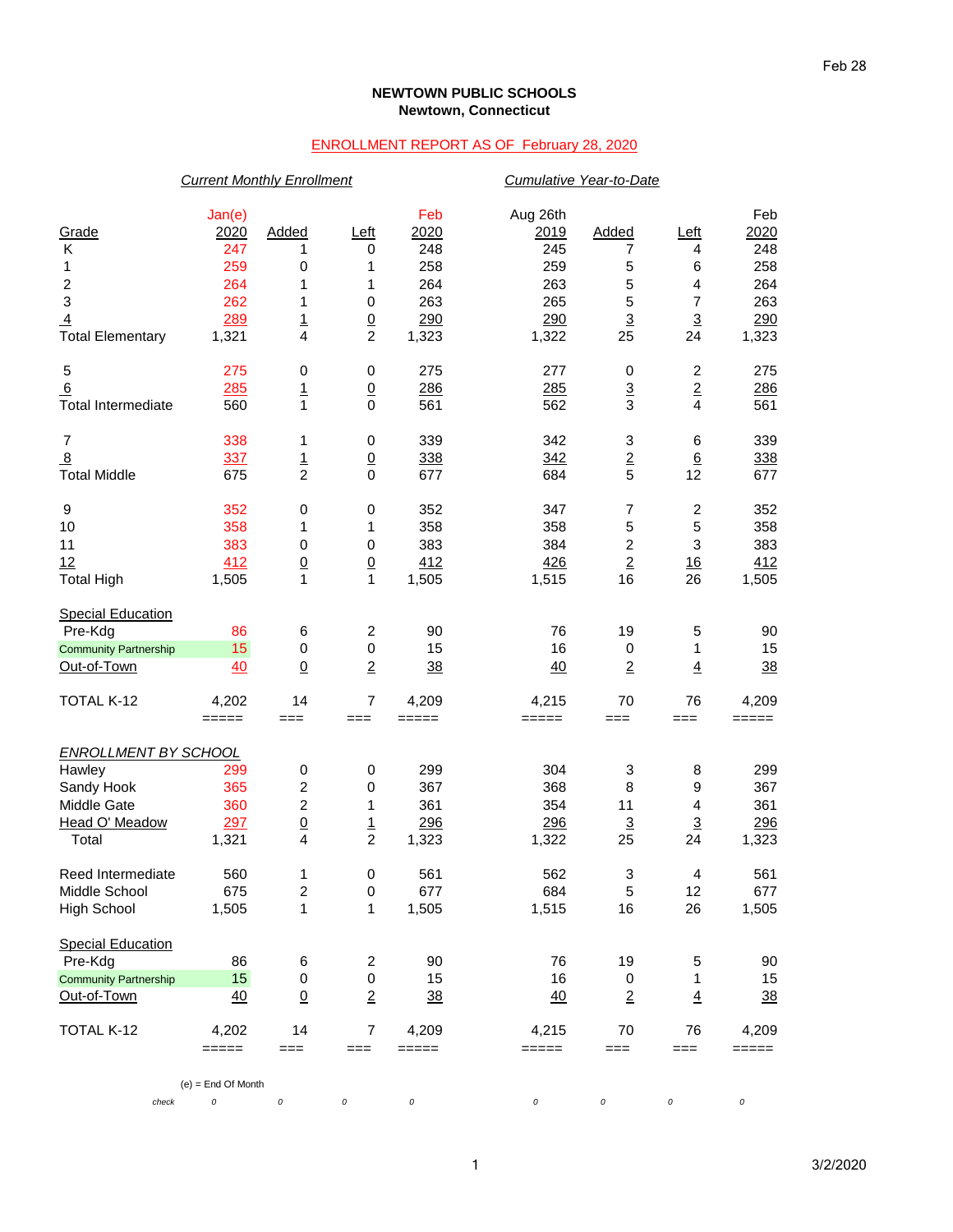## **NEWTOWN PUBLIC SCHOOLS Newtown, Connecticut**

## ENROLLMENT REPORT AS OF February 28, 2020

|                              | <b>Current Monthly Enrollment</b> |                         |                          |                                                           |          | Cumulative Year-to-Date   |                         |                |  |  |
|------------------------------|-----------------------------------|-------------------------|--------------------------|-----------------------------------------------------------|----------|---------------------------|-------------------------|----------------|--|--|
|                              | Jan(e)                            |                         |                          | Feb                                                       | Aug 26th |                           |                         | Feb            |  |  |
| Grade                        | 2020                              | Added                   | Left                     | 2020                                                      | 2019     | Added                     | Left                    | 2020           |  |  |
| Κ                            | 247                               | 1                       | 0                        | 248                                                       | 245      | 7                         | 4                       | 248            |  |  |
| 1                            | 259                               | 0                       | 1                        | 258                                                       | 259      | 5                         | 6                       | 258            |  |  |
| 2                            | 264                               | 1                       | 1                        | 264                                                       | 263      | 5                         | 4                       | 264            |  |  |
| 3                            | 262                               | 1                       | 0                        | 263                                                       | 265      | 5                         | $\overline{7}$          | 263            |  |  |
| $\overline{4}$               | 289                               | $\overline{1}$          | $\underline{0}$          | 290                                                       | 290      | $\overline{3}$            | $\overline{3}$          | 290            |  |  |
| <b>Total Elementary</b>      | 1,321                             | $\overline{4}$          | $\overline{c}$           | 1,323                                                     | 1,322    | 25                        | 24                      | 1,323          |  |  |
| 5                            | 275                               | $\pmb{0}$               | $\,0\,$                  | 275                                                       | 277      | 0                         | $\overline{c}$          | 275            |  |  |
| 6                            | 285                               | $\mathbf{1}$            | $\underline{0}$          | 286                                                       | 285      | $\overline{3}$            | $\overline{2}$          | 286            |  |  |
| <b>Total Intermediate</b>    | 560                               | $\mathbf{1}$            | $\mathbf 0$              | 561                                                       | 562      | 3                         | $\overline{\mathbf{4}}$ | 561            |  |  |
| 7                            | 338                               | 1                       | 0                        | 339                                                       | 342      | 3                         | 6                       | 339            |  |  |
| $\overline{8}$               | 337                               | $\overline{1}$          | $\underline{0}$          | 338                                                       | 342      | $\underline{\mathbf{2}}$  | $6\phantom{.}6$         | 338            |  |  |
| <b>Total Middle</b>          | 675                               | $\overline{c}$          | $\mathbf 0$              | 677                                                       | 684      | 5                         | 12                      | 677            |  |  |
| 9                            | 352                               | $\pmb{0}$               | $\,0\,$                  | 352                                                       | 347      | $\overline{7}$            | $\overline{c}$          | 352            |  |  |
| 10                           | 358                               | 1                       | 1                        | 358                                                       | 358      | 5                         | 5                       | 358            |  |  |
| 11                           | 383                               | 0                       | 0                        | 383                                                       | 384      | 2                         | 3                       | 383            |  |  |
| 12                           | 412                               | $\underline{0}$         | $\underline{0}$          | 412                                                       | 426      | $\overline{2}$            | 16                      | 412            |  |  |
| <b>Total High</b>            | 1,505                             | $\mathbf{1}$            | $\mathbf{1}$             | 1,505                                                     | 1,515    | 16                        | 26                      | 1,505          |  |  |
| <b>Special Education</b>     |                                   |                         |                          |                                                           |          |                           |                         |                |  |  |
| Pre-Kdg                      | 86                                | 6                       | $\overline{c}$           | 90                                                        | 76       | 19                        | 5                       | 90             |  |  |
| <b>Community Partnership</b> | 15                                | $\pmb{0}$               | $\mathbf 0$              | 15                                                        | 16       | 0                         | 1                       | 15             |  |  |
| Out-of-Town                  | 40                                | $\underline{0}$         | $\overline{2}$           | 38                                                        | 40       | $\overline{2}$            | $\overline{4}$          | 38             |  |  |
| TOTAL K-12                   | 4,202                             | 14                      | $\overline{7}$           | 4,209                                                     | 4,215    | 70                        | 76                      | 4,209          |  |  |
|                              | $=====$                           | $==$                    | ===                      | $=====$                                                   | =====    | $==$                      | $==$                    | =====          |  |  |
| <b>ENROLLMENT BY SCHOOL</b>  |                                   |                         |                          |                                                           |          |                           |                         |                |  |  |
| Hawley                       | 299                               | 0                       | 0                        | 299                                                       | 304      | 3                         | 8                       | 299            |  |  |
| Sandy Hook                   | 365                               | $\boldsymbol{2}$        | 0                        | 367                                                       | 368      | 8                         | 9                       | 367            |  |  |
| Middle Gate                  | 360                               | $\overline{c}$          | 1                        | 361                                                       | 354      | 11                        | 4                       | 361            |  |  |
| Head O' Meadow               | 297                               | $\underline{0}$         | <u>1</u>                 | 296                                                       | 296      | $\overline{3}$            | $\overline{3}$          | 296            |  |  |
| Total                        | 1,321                             | 4                       | $\overline{2}$           | 1,323                                                     | 1,322    | 25                        | 24                      | 1,323          |  |  |
| Reed Intermediate            | 560                               | 1                       | $\pmb{0}$                | 561                                                       | 562      | $\ensuremath{\mathsf{3}}$ | $\overline{4}$          | 561            |  |  |
| Middle School                | 675                               | $\overline{\mathbf{c}}$ | 0                        | 677                                                       | 684      | 5                         | 12                      | 677            |  |  |
| <b>High School</b>           | 1,505                             | 1                       | 1                        | 1,505                                                     | 1,515    | 16                        | 26                      | 1,505          |  |  |
| <b>Special Education</b>     |                                   |                         |                          |                                                           |          |                           |                         |                |  |  |
| Pre-Kdg                      | 86                                | 6                       | $\overline{\mathbf{c}}$  | 90                                                        | 76       | 19                        | 5                       | 90             |  |  |
| <b>Community Partnership</b> | 15                                | 0                       | $\,0\,$                  | 15                                                        | 16       | 0                         | 1                       | 15             |  |  |
| Out-of-Town                  | 40                                | $\underline{0}$         | $\overline{2}$           | 38                                                        | 40       | $\overline{2}$            | $\overline{4}$          | $\frac{38}{5}$ |  |  |
| TOTAL K-12                   | 4,202                             | 14                      | $\overline{\mathcal{I}}$ | 4,209                                                     | 4,215    | 70                        | 76                      | 4,209          |  |  |
|                              | $=====$                           | $==$                    | $==$                     | $\qquad \qquad \equiv \equiv \equiv \equiv \equiv \equiv$ | =====    | $==$                      | ===                     | =====          |  |  |
| check                        | $(e)$ = End Of Month<br>0         | $\cal O$                | 0                        | $\cal O$                                                  | 0        | $\cal O$                  | 0                       | $\cal O$       |  |  |
|                              |                                   |                         |                          |                                                           |          |                           |                         |                |  |  |